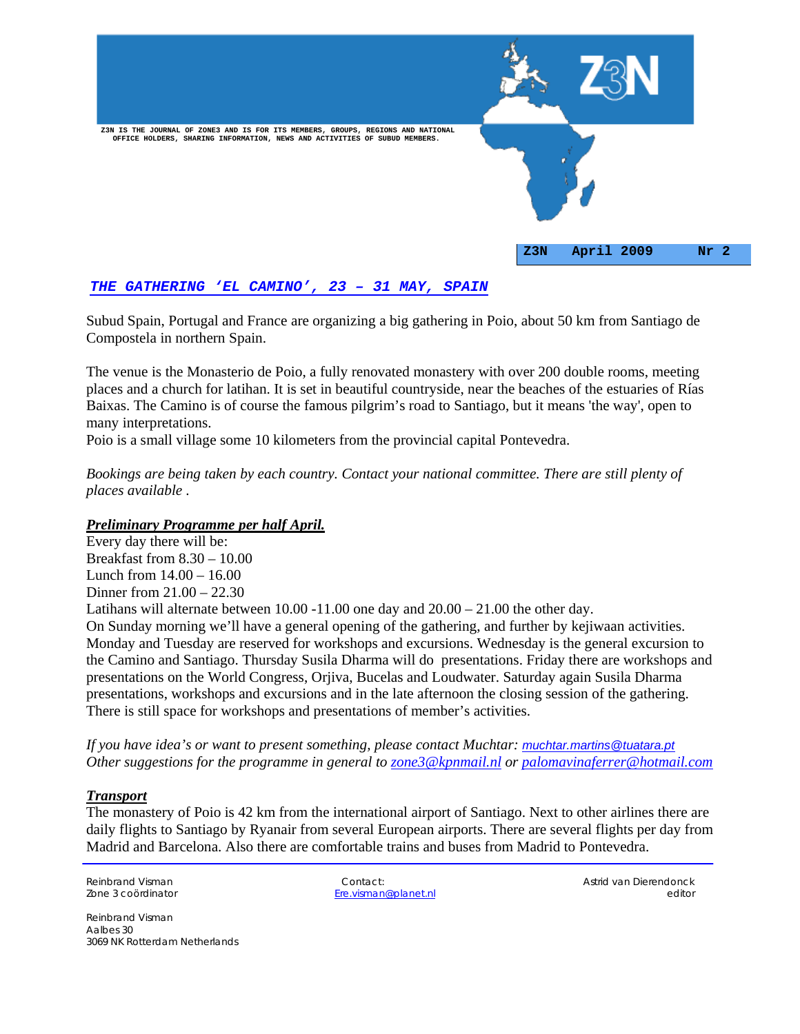

# *THE GATHERING 'EL CAMINO', 23 – 31 MAY, SPAIN*

Subud Spain, Portugal and France are organizing a big gathering in Poio, about 50 km from Santiago de Compostela in northern Spain.

The venue is the Monasterio de Poio, a fully renovated monastery with over 200 double rooms, meeting places and a church for latihan. It is set in beautiful countryside, near the beaches of the estuaries of Rías Baixas. The Camino is of course the famous pilgrim's road to Santiago, but it means 'the way', open to many interpretations.

Poio is a small village some 10 kilometers from the provincial capital Pontevedra.

*Bookings are being taken by each country. Contact your national committee. There are still plenty of places available .* 

#### *Preliminary Programme per half April.*

Every day there will be: Breakfast from 8.30 – 10.00 Lunch from 14.00 – 16.00 Dinner from 21.00 – 22.30 Latihans will alternate between  $10.00 - 11.00$  one day and  $20.00 - 21.00$  the other day. On Sunday morning we'll have a general opening of the gathering, and further by kejiwaan activities. Monday and Tuesday are reserved for workshops and excursions. Wednesday is the general excursion to the Camino and Santiago. Thursday Susila Dharma will do presentations. Friday there are workshops and presentations on the World Congress, Orjiva, Bucelas and Loudwater. Saturday again Susila Dharma presentations, workshops and excursions and in the late afternoon the closing session of the gathering. There is still space for workshops and presentations of member's activities.

*If you have idea's or want to present something, please contact Muchtar: <u><i>muchtar.martins@tuatara.pt*</u> *Other suggestions for the programme in general to zone3@kpnmail.nl or palomavinaferrer@hotmail.com*

#### *Transport*

The monastery of Poio is 42 km from the international airport of Santiago. Next to other airlines there are daily flights to Santiago by Ryanair from several European airports. There are several flights per day from Madrid and Barcelona. Also there are comfortable trains and buses from Madrid to Pontevedra.

Reinbrand Visman Contact: Astrid van Dierendonck Zone 3 coördinator Ere.visman@planet.nl editor

Reinbrand Visman Aalbes 30 3069 NK Rotterdam Netherlands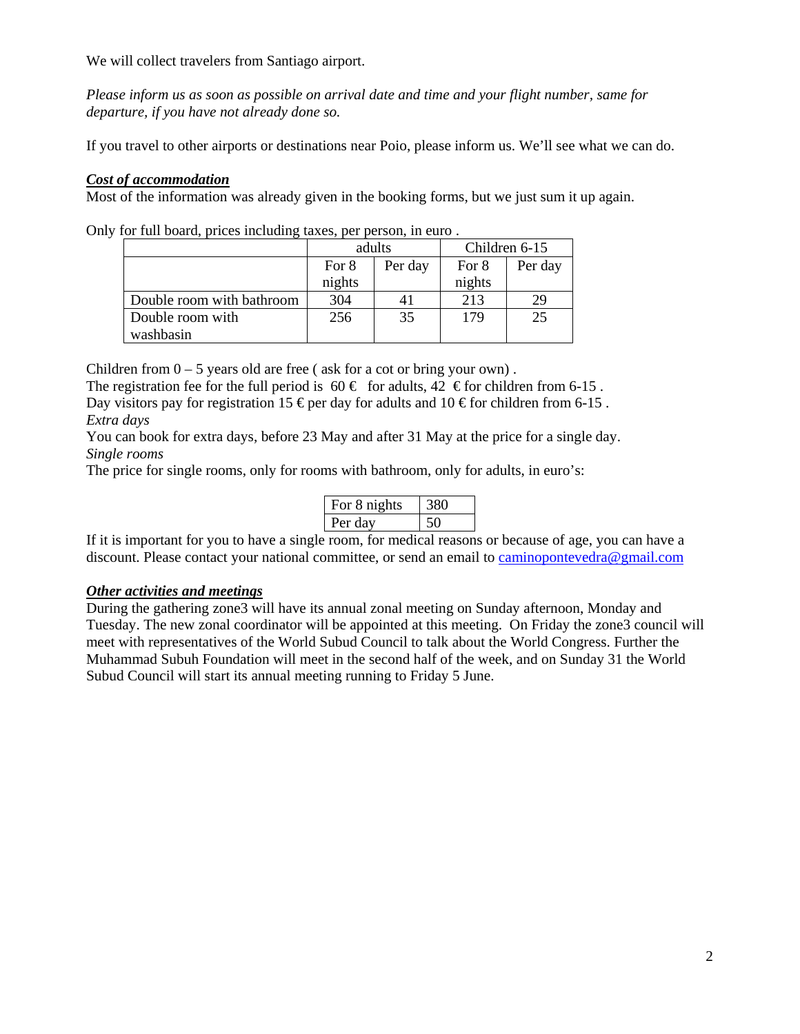We will collect travelers from Santiago airport.

*Please inform us as soon as possible on arrival date and time and your flight number, same for departure, if you have not already done so.* 

If you travel to other airports or destinations near Poio, please inform us. We'll see what we can do.

# *Cost of accommodation*

Most of the information was already given in the booking forms, but we just sum it up again.

Only for full board, prices including taxes, per person, in euro .

|                           | adults |         | Children 6-15 |         |
|---------------------------|--------|---------|---------------|---------|
|                           | For 8  | Per day | For 8         | Per day |
|                           | nights |         | nights        |         |
| Double room with bathroom | 304    | 41      | 213           | 29      |
| Double room with          | 256    | 35      | 179           | 25      |
| washbasin                 |        |         |               |         |

Children from  $0 - 5$  years old are free (ask for a cot or bring your own).

The registration fee for the full period is  $60 \in \text{for adults}, 42 \in \text{for children from 6-15}.$ 

Day visitors pay for registration 15  $\epsilon$  per day for adults and 10  $\epsilon$  for children from 6-15. *Extra days* 

You can book for extra days, before 23 May and after 31 May at the price for a single day. *Single rooms* 

The price for single rooms, only for rooms with bathroom, only for adults, in euro's:

| For 8 nights |  |
|--------------|--|
| Per dav      |  |

If it is important for you to have a single room, for medical reasons or because of age, you can have a discount. Please contact your national committee, or send an email to caminopontevedra@gmail.com

# *Other activities and meetings*

During the gathering zone3 will have its annual zonal meeting on Sunday afternoon, Monday and Tuesday. The new zonal coordinator will be appointed at this meeting. On Friday the zone3 council will meet with representatives of the World Subud Council to talk about the World Congress. Further the Muhammad Subuh Foundation will meet in the second half of the week, and on Sunday 31 the World Subud Council will start its annual meeting running to Friday 5 June.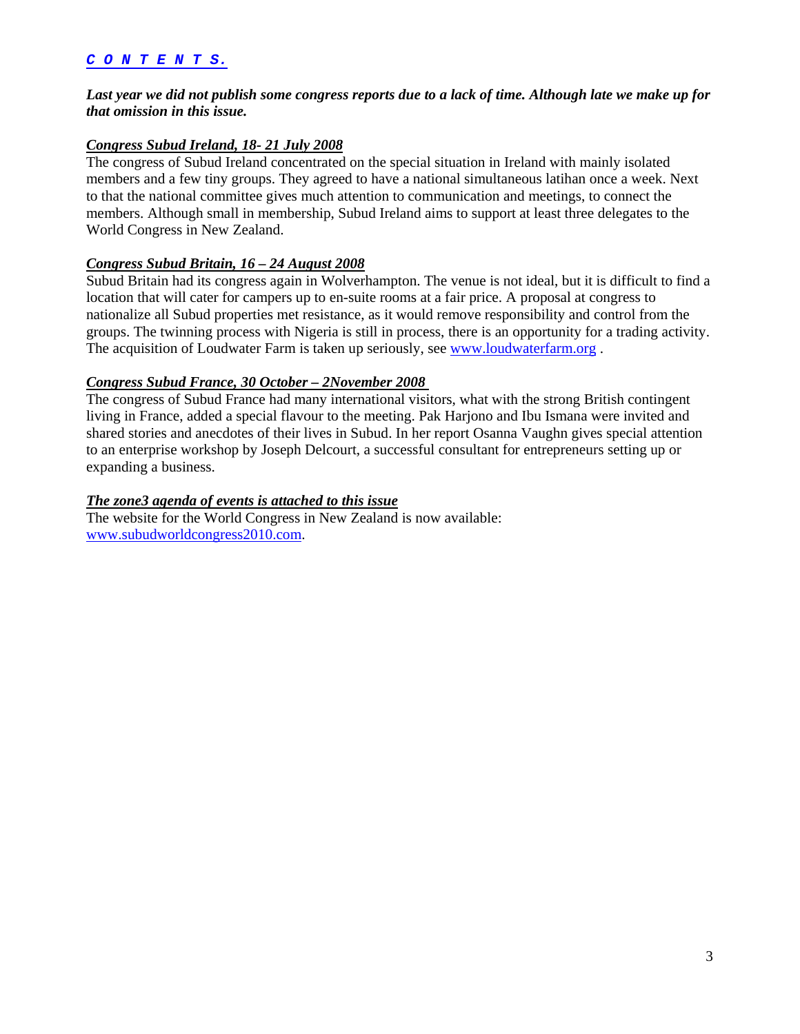#### *C O N T E N T S.*

# *Last year we did not publish some congress reports due to a lack of time. Although late we make up for that omission in this issue.*

# *Congress Subud Ireland, 18- 21 July 2008*

The congress of Subud Ireland concentrated on the special situation in Ireland with mainly isolated members and a few tiny groups. They agreed to have a national simultaneous latihan once a week. Next to that the national committee gives much attention to communication and meetings, to connect the members. Although small in membership, Subud Ireland aims to support at least three delegates to the World Congress in New Zealand.

# *Congress Subud Britain, 16 – 24 August 2008*

Subud Britain had its congress again in Wolverhampton. The venue is not ideal, but it is difficult to find a location that will cater for campers up to en-suite rooms at a fair price. A proposal at congress to nationalize all Subud properties met resistance, as it would remove responsibility and control from the groups. The twinning process with Nigeria is still in process, there is an opportunity for a trading activity. The acquisition of Loudwater Farm is taken up seriously, see www.loudwaterfarm.org .

# *Congress Subud France, 30 October – 2November 2008*

The congress of Subud France had many international visitors, what with the strong British contingent living in France, added a special flavour to the meeting. Pak Harjono and Ibu Ismana were invited and shared stories and anecdotes of their lives in Subud. In her report Osanna Vaughn gives special attention to an enterprise workshop by Joseph Delcourt, a successful consultant for entrepreneurs setting up or expanding a business.

#### *The zone3 agenda of events is attached to this issue*

The website for the World Congress in New Zealand is now available: www.subudworldcongress2010.com.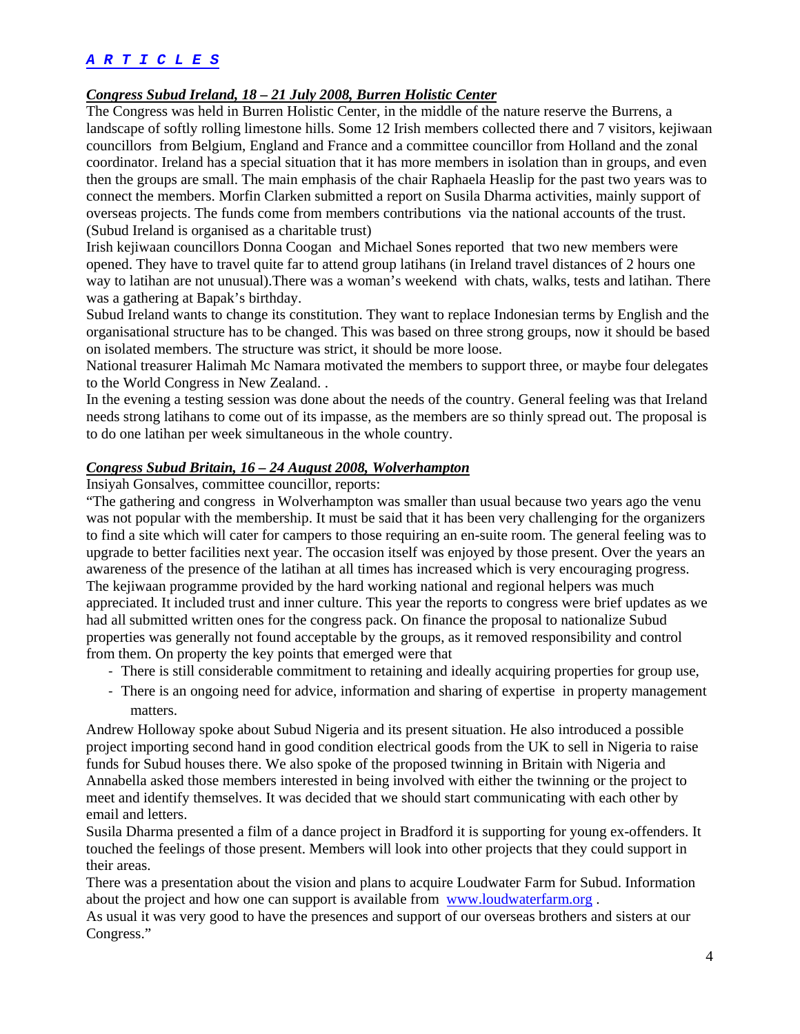# *A R T I C L E S*

#### *Congress Subud Ireland, 18 – 21 July 2008, Burren Holistic Center*

The Congress was held in Burren Holistic Center, in the middle of the nature reserve the Burrens, a landscape of softly rolling limestone hills. Some 12 Irish members collected there and 7 visitors, kejiwaan councillors from Belgium, England and France and a committee councillor from Holland and the zonal coordinator. Ireland has a special situation that it has more members in isolation than in groups, and even then the groups are small. The main emphasis of the chair Raphaela Heaslip for the past two years was to connect the members. Morfin Clarken submitted a report on Susila Dharma activities, mainly support of overseas projects. The funds come from members contributions via the national accounts of the trust. (Subud Ireland is organised as a charitable trust)

Irish kejiwaan councillors Donna Coogan and Michael Sones reported that two new members were opened. They have to travel quite far to attend group latihans (in Ireland travel distances of 2 hours one way to latihan are not unusual).There was a woman's weekend with chats, walks, tests and latihan. There was a gathering at Bapak's birthday.

Subud Ireland wants to change its constitution. They want to replace Indonesian terms by English and the organisational structure has to be changed. This was based on three strong groups, now it should be based on isolated members. The structure was strict, it should be more loose.

National treasurer Halimah Mc Namara motivated the members to support three, or maybe four delegates to the World Congress in New Zealand. .

In the evening a testing session was done about the needs of the country. General feeling was that Ireland needs strong latihans to come out of its impasse, as the members are so thinly spread out. The proposal is to do one latihan per week simultaneous in the whole country.

#### *Congress Subud Britain, 16 – 24 August 2008, Wolverhampton*

Insiyah Gonsalves, committee councillor, reports:

"The gathering and congress in Wolverhampton was smaller than usual because two years ago the venu was not popular with the membership. It must be said that it has been very challenging for the organizers to find a site which will cater for campers to those requiring an en-suite room. The general feeling was to upgrade to better facilities next year. The occasion itself was enjoyed by those present. Over the years an awareness of the presence of the latihan at all times has increased which is very encouraging progress. The kejiwaan programme provided by the hard working national and regional helpers was much appreciated. It included trust and inner culture. This year the reports to congress were brief updates as we had all submitted written ones for the congress pack. On finance the proposal to nationalize Subud properties was generally not found acceptable by the groups, as it removed responsibility and control from them. On property the key points that emerged were that

- ‐ There is still considerable commitment to retaining and ideally acquiring properties for group use,
- ‐ There is an ongoing need for advice, information and sharing of expertise in property management matters.

Andrew Holloway spoke about Subud Nigeria and its present situation. He also introduced a possible project importing second hand in good condition electrical goods from the UK to sell in Nigeria to raise funds for Subud houses there. We also spoke of the proposed twinning in Britain with Nigeria and Annabella asked those members interested in being involved with either the twinning or the project to meet and identify themselves. It was decided that we should start communicating with each other by email and letters.

Susila Dharma presented a film of a dance project in Bradford it is supporting for young ex-offenders. It touched the feelings of those present. Members will look into other projects that they could support in their areas.

There was a presentation about the vision and plans to acquire Loudwater Farm for Subud. Information about the project and how one can support is available from www.loudwaterfarm.org .

As usual it was very good to have the presences and support of our overseas brothers and sisters at our Congress."